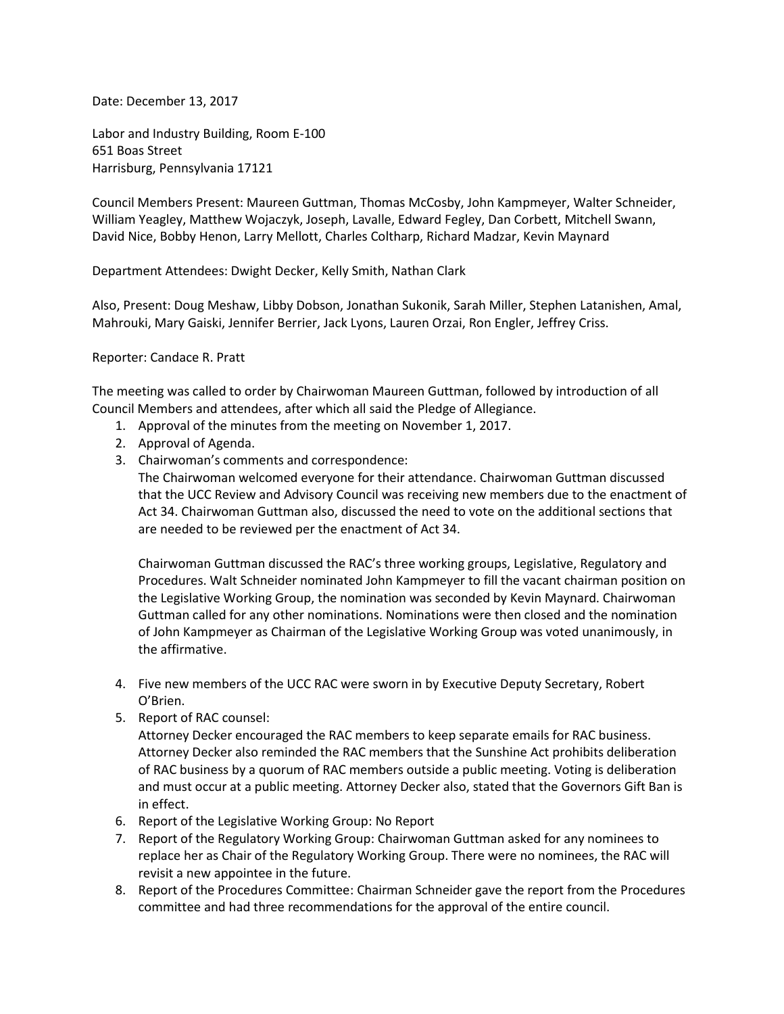Date: December 13, 2017

Labor and Industry Building, Room E-100 651 Boas Street Harrisburg, Pennsylvania 17121

Council Members Present: Maureen Guttman, Thomas McCosby, John Kampmeyer, Walter Schneider, William Yeagley, Matthew Wojaczyk, Joseph, Lavalle, Edward Fegley, Dan Corbett, Mitchell Swann, David Nice, Bobby Henon, Larry Mellott, Charles Coltharp, Richard Madzar, Kevin Maynard

Department Attendees: Dwight Decker, Kelly Smith, Nathan Clark

Also, Present: Doug Meshaw, Libby Dobson, Jonathan Sukonik, Sarah Miller, Stephen Latanishen, Amal, Mahrouki, Mary Gaiski, Jennifer Berrier, Jack Lyons, Lauren Orzai, Ron Engler, Jeffrey Criss.

## Reporter: Candace R. Pratt

The meeting was called to order by Chairwoman Maureen Guttman, followed by introduction of all Council Members and attendees, after which all said the Pledge of Allegiance.

- 1. Approval of the minutes from the meeting on November 1, 2017.
- 2. Approval of Agenda.
- 3. Chairwoman's comments and correspondence:

The Chairwoman welcomed everyone for their attendance. Chairwoman Guttman discussed that the UCC Review and Advisory Council was receiving new members due to the enactment of Act 34. Chairwoman Guttman also, discussed the need to vote on the additional sections that are needed to be reviewed per the enactment of Act 34.

Chairwoman Guttman discussed the RAC's three working groups, Legislative, Regulatory and Procedures. Walt Schneider nominated John Kampmeyer to fill the vacant chairman position on the Legislative Working Group, the nomination was seconded by Kevin Maynard. Chairwoman Guttman called for any other nominations. Nominations were then closed and the nomination of John Kampmeyer as Chairman of the Legislative Working Group was voted unanimously, in the affirmative.

- 4. Five new members of the UCC RAC were sworn in by Executive Deputy Secretary, Robert O'Brien.
- 5. Report of RAC counsel:

Attorney Decker encouraged the RAC members to keep separate emails for RAC business. Attorney Decker also reminded the RAC members that the Sunshine Act prohibits deliberation of RAC business by a quorum of RAC members outside a public meeting. Voting is deliberation and must occur at a public meeting. Attorney Decker also, stated that the Governors Gift Ban is in effect.

- 6. Report of the Legislative Working Group: No Report
- 7. Report of the Regulatory Working Group: Chairwoman Guttman asked for any nominees to replace her as Chair of the Regulatory Working Group. There were no nominees, the RAC will revisit a new appointee in the future.
- 8. Report of the Procedures Committee: Chairman Schneider gave the report from the Procedures committee and had three recommendations for the approval of the entire council.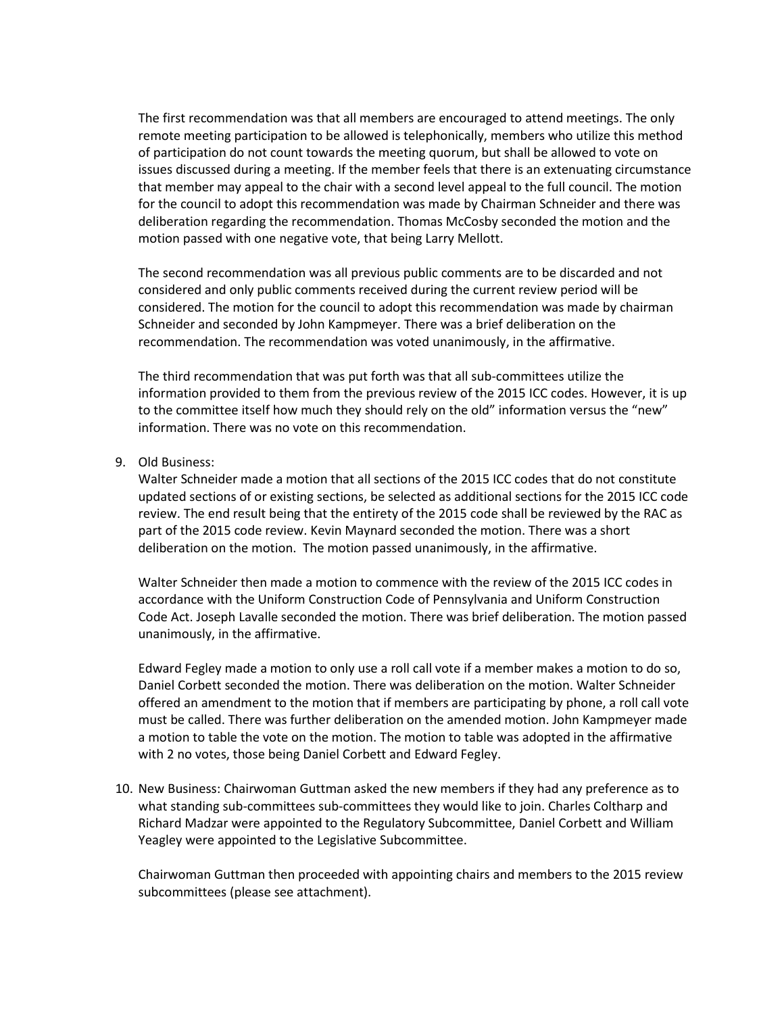The first recommendation was that all members are encouraged to attend meetings. The only remote meeting participation to be allowed is telephonically, members who utilize this method of participation do not count towards the meeting quorum, but shall be allowed to vote on issues discussed during a meeting. If the member feels that there is an extenuating circumstance that member may appeal to the chair with a second level appeal to the full council. The motion for the council to adopt this recommendation was made by Chairman Schneider and there was deliberation regarding the recommendation. Thomas McCosby seconded the motion and the motion passed with one negative vote, that being Larry Mellott.

The second recommendation was all previous public comments are to be discarded and not considered and only public comments received during the current review period will be considered. The motion for the council to adopt this recommendation was made by chairman Schneider and seconded by John Kampmeyer. There was a brief deliberation on the recommendation. The recommendation was voted unanimously, in the affirmative.

The third recommendation that was put forth was that all sub-committees utilize the information provided to them from the previous review of the 2015 ICC codes. However, it is up to the committee itself how much they should rely on the old" information versus the "new" information. There was no vote on this recommendation.

9. Old Business:

Walter Schneider made a motion that all sections of the 2015 ICC codes that do not constitute updated sections of or existing sections, be selected as additional sections for the 2015 ICC code review. The end result being that the entirety of the 2015 code shall be reviewed by the RAC as part of the 2015 code review. Kevin Maynard seconded the motion. There was a short deliberation on the motion. The motion passed unanimously, in the affirmative.

Walter Schneider then made a motion to commence with the review of the 2015 ICC codes in accordance with the Uniform Construction Code of Pennsylvania and Uniform Construction Code Act. Joseph Lavalle seconded the motion. There was brief deliberation. The motion passed unanimously, in the affirmative.

Edward Fegley made a motion to only use a roll call vote if a member makes a motion to do so, Daniel Corbett seconded the motion. There was deliberation on the motion. Walter Schneider offered an amendment to the motion that if members are participating by phone, a roll call vote must be called. There was further deliberation on the amended motion. John Kampmeyer made a motion to table the vote on the motion. The motion to table was adopted in the affirmative with 2 no votes, those being Daniel Corbett and Edward Fegley.

10. New Business: Chairwoman Guttman asked the new members if they had any preference as to what standing sub-committees sub-committees they would like to join. Charles Coltharp and Richard Madzar were appointed to the Regulatory Subcommittee, Daniel Corbett and William Yeagley were appointed to the Legislative Subcommittee.

Chairwoman Guttman then proceeded with appointing chairs and members to the 2015 review subcommittees (please see attachment).